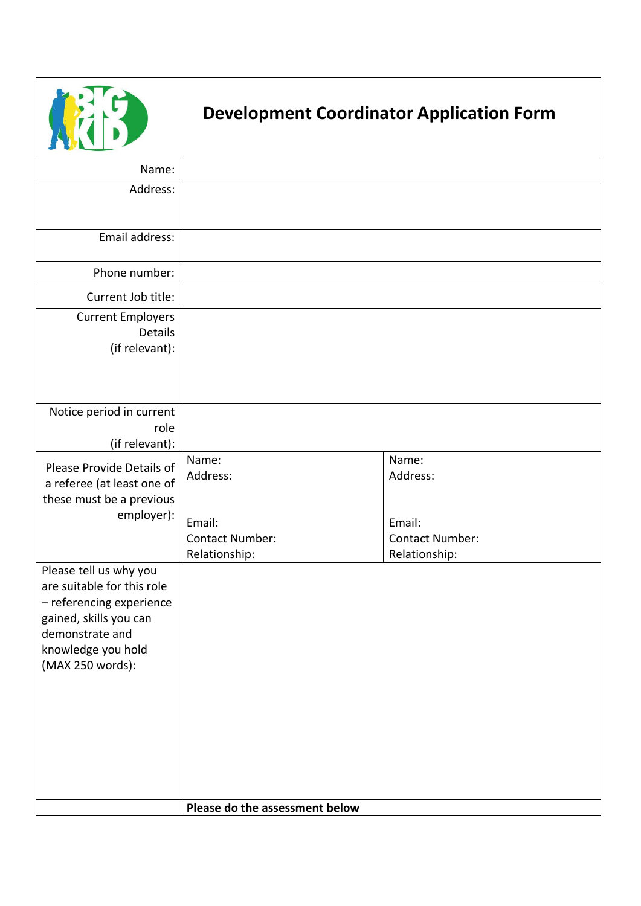

## **Development Coordinator Application Form**

| <b>By Leading Comments</b>                                                                                                                                              |                                                                        |                                                                        |
|-------------------------------------------------------------------------------------------------------------------------------------------------------------------------|------------------------------------------------------------------------|------------------------------------------------------------------------|
| Name:                                                                                                                                                                   |                                                                        |                                                                        |
| Address:                                                                                                                                                                |                                                                        |                                                                        |
| Email address:                                                                                                                                                          |                                                                        |                                                                        |
| Phone number:                                                                                                                                                           |                                                                        |                                                                        |
| Current Job title:                                                                                                                                                      |                                                                        |                                                                        |
| <b>Current Employers</b><br><b>Details</b><br>(if relevant):                                                                                                            |                                                                        |                                                                        |
| Notice period in current<br>role<br>(if relevant):                                                                                                                      |                                                                        |                                                                        |
| Please Provide Details of<br>a referee (at least one of<br>these must be a previous<br>employer):                                                                       | Name:<br>Address:<br>Email:<br><b>Contact Number:</b><br>Relationship: | Name:<br>Address:<br>Email:<br><b>Contact Number:</b><br>Relationship: |
| Please tell us why you<br>are suitable for this role<br>- referencing experience<br>gained, skills you can<br>demonstrate and<br>knowledge you hold<br>(MAX 250 words): |                                                                        |                                                                        |
|                                                                                                                                                                         | Please do the assessment below                                         |                                                                        |